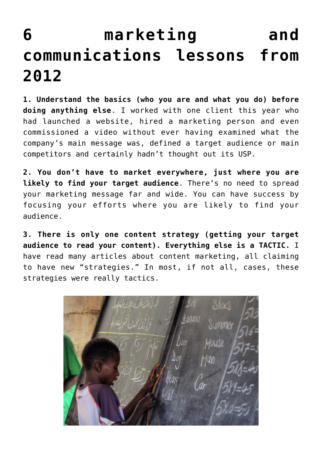## **[6 marketing and](https://deborahbrody.com/2012/12/6-marketing-and-communications-lessons-from-2012/) [communications lessons from](https://deborahbrody.com/2012/12/6-marketing-and-communications-lessons-from-2012/) [2012](https://deborahbrody.com/2012/12/6-marketing-and-communications-lessons-from-2012/)**

**1. Understand the basics (who you are and what you do) before doing anything else**. I worked with one client this year who had launched a website, hired a marketing person and even commissioned a video without ever having examined what the company's main message was, defined a target audience or main competitors and certainly hadn't thought out its USP.

**2. You don't have to market everywhere, just where you are likely to find your target audience**. There's no need to spread your marketing message far and wide. You can have success by focusing your efforts where you are likely to find your audience.

**3. There is only one content strategy (getting your target audience to read your content). Everything else is a TACTIC.** I have read many articles about content marketing, all claiming to have new "strategies." In most, if not all, cases, these strategies were really tactics.